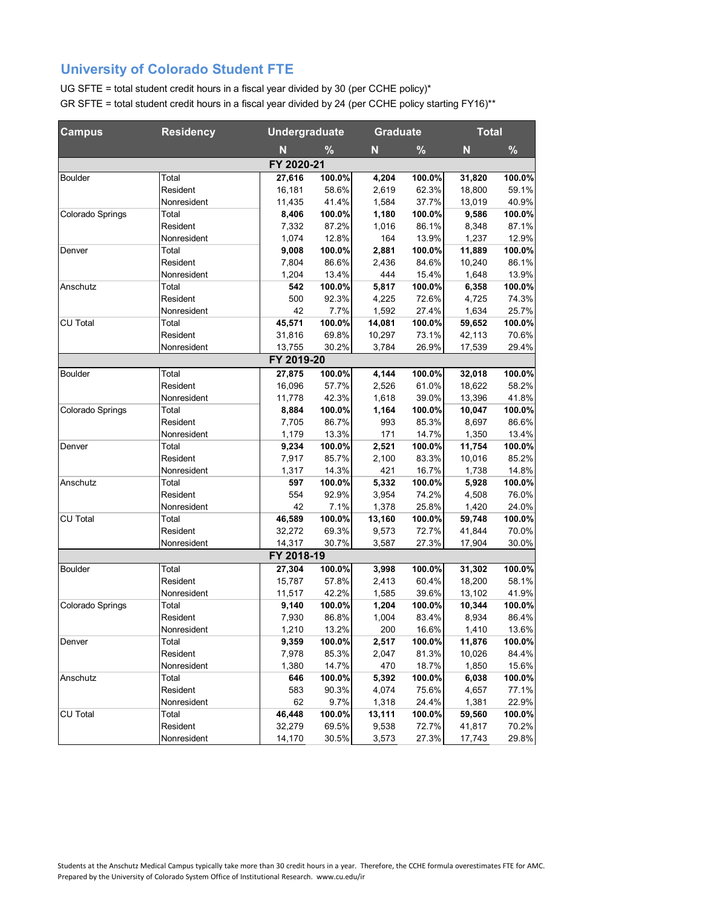| <b>Campus</b>    | <b>Residency</b> | <b>Undergraduate</b> |        | <b>Graduate</b> |        | <b>Total</b> |        |
|------------------|------------------|----------------------|--------|-----------------|--------|--------------|--------|
|                  |                  | N                    | %      | N               | %      | N            | %      |
|                  |                  | FY 2020-21           |        |                 |        |              |        |
| Boulder          | Total            | 27,616               | 100.0% | 4,204           | 100.0% | 31,820       | 100.0% |
|                  | Resident         | 16,181               | 58.6%  | 2,619           | 62.3%  | 18,800       | 59.1%  |
|                  | Nonresident      | 11,435               | 41.4%  | 1,584           | 37.7%  | 13,019       | 40.9%  |
| Colorado Springs | Total            | 8,406                | 100.0% | 1,180           | 100.0% | 9,586        | 100.0% |
|                  | Resident         | 7,332                | 87.2%  | 1,016           | 86.1%  | 8,348        | 87.1%  |
|                  | Nonresident      | 1,074                | 12.8%  | 164             | 13.9%  | 1,237        | 12.9%  |
| Denver           | Total            | 9,008                | 100.0% | 2,881           | 100.0% | 11,889       | 100.0% |
|                  | Resident         | 7,804                | 86.6%  | 2,436           | 84.6%  | 10,240       | 86.1%  |
|                  | Nonresident      | 1,204                | 13.4%  | 444             | 15.4%  | 1,648        | 13.9%  |
| Anschutz         | Total            | 542                  | 100.0% | 5,817           | 100.0% | 6,358        | 100.0% |
|                  | Resident         | 500                  | 92.3%  | 4,225           | 72.6%  | 4,725        | 74.3%  |
|                  | Nonresident      | 42                   | 7.7%   | 1,592           | 27.4%  | 1,634        | 25.7%  |
| CU Total         | Total            | 45,571               | 100.0% | 14,081          | 100.0% | 59,652       | 100.0% |
|                  | Resident         | 31,816               | 69.8%  | 10,297          | 73.1%  | 42,113       | 70.6%  |
|                  | Nonresident      | 13,755               | 30.2%  | 3.784           | 26.9%  | 17,539       | 29.4%  |
|                  |                  | FY 2019-20           |        |                 |        |              |        |
| Boulder          | Total            | 27,875               | 100.0% | 4,144           | 100.0% | 32,018       | 100.0% |
|                  | Resident         | 16,096               | 57.7%  | 2,526           | 61.0%  | 18,622       | 58.2%  |
|                  | Nonresident      | 11,778               | 42.3%  | 1,618           | 39.0%  | 13,396       | 41.8%  |
| Colorado Springs | Total            | 8,884                | 100.0% | 1,164           | 100.0% | 10,047       | 100.0% |
|                  | Resident         | 7,705                | 86.7%  | 993             | 85.3%  | 8,697        | 86.6%  |
|                  | Nonresident      | 1,179                | 13.3%  | 171             | 14.7%  | 1,350        | 13.4%  |
| Denver           | Total            | 9,234                | 100.0% | 2,521           | 100.0% | 11,754       | 100.0% |
|                  | Resident         | 7,917                | 85.7%  | 2,100           | 83.3%  | 10,016       | 85.2%  |
|                  | Nonresident      | 1,317                | 14.3%  | 421             | 16.7%  | 1,738        | 14.8%  |
| Anschutz         | Total            | 597                  | 100.0% | 5,332           | 100.0% | 5,928        | 100.0% |
|                  | Resident         | 554                  | 92.9%  | 3,954           | 74.2%  | 4,508        | 76.0%  |
|                  | Nonresident      | 42                   | 7.1%   | 1,378           | 25.8%  | 1,420        | 24.0%  |
| CU Total         | Total            | 46,589               | 100.0% | 13,160          | 100.0% | 59,748       | 100.0% |
|                  | Resident         | 32,272               | 69.3%  | 9,573           | 72.7%  | 41,844       | 70.0%  |
|                  | Nonresident      | 14,317               | 30.7%  | 3,587           | 27.3%  | 17,904       | 30.0%  |
|                  |                  | FY 2018-19           |        |                 |        |              |        |
| Boulder          | Total            | 27,304               | 100.0% | 3,998           | 100.0% | 31,302       | 100.0% |
|                  | Resident         | 15,787               | 57.8%  | 2,413           | 60.4%  | 18,200       | 58.1%  |
|                  | Nonresident      | 11,517               | 42.2%  | 1,585           | 39.6%  | 13,102       | 41.9%  |
| Colorado Springs | Total            | 9,140                | 100.0% | 1,204           | 100.0% | 10,344       | 100.0% |
|                  | Resident         | 7,930                | 86.8%  | 1,004           | 83.4%  | 8,934        | 86.4%  |
|                  | Nonresident      | 1.210                | 13.2%  | 200             | 16.6%  | 1,410        | 13.6%  |
| Denver           | Total            | 9,359                | 100.0% | 2,517           | 100.0% | 11,876       | 100.0% |
|                  | Resident         | 7,978                | 85.3%  | 2,047           | 81.3%  | 10,026       | 84.4%  |
|                  | Nonresident      | 1,380                | 14.7%  | 470             | 18.7%  | 1,850        | 15.6%  |
| Anschutz         | Total            | 646                  | 100.0% | 5,392           | 100.0% | 6,038        | 100.0% |
|                  | Resident         | 583                  | 90.3%  | 4,074           | 75.6%  | 4,657        | 77.1%  |
|                  | Nonresident      | 62                   | 9.7%   | 1,318           | 24.4%  | 1,381        | 22.9%  |
| CU Total         | Total            | 46,448               | 100.0% | 13,111          | 100.0% | 59,560       | 100.0% |
|                  | Resident         | 32,279               | 69.5%  | 9,538           | 72.7%  | 41,817       | 70.2%  |
|                  | Nonresident      | 14,170               | 30.5%  | 3,573           | 27.3%  | 17,743       | 29.8%  |
|                  |                  |                      |        |                 |        |              |        |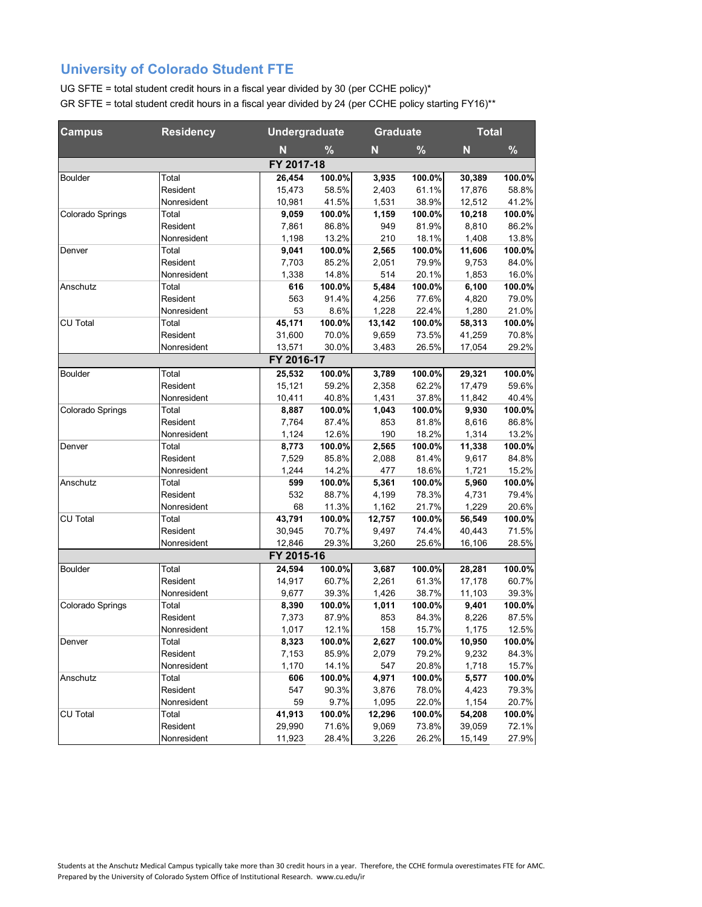| <b>Campus</b>    | <b>Residency</b> |            | <b>Undergraduate</b> |        | <b>Graduate</b> |        | <b>Total</b> |  |
|------------------|------------------|------------|----------------------|--------|-----------------|--------|--------------|--|
|                  |                  | N          | %                    | N      | %               | N      | $\%$         |  |
|                  |                  | FY 2017-18 |                      |        |                 |        |              |  |
| Boulder          | Total            | 26,454     | 100.0%               | 3,935  | 100.0%          | 30,389 | 100.0%       |  |
|                  | Resident         | 15,473     | 58.5%                | 2,403  | 61.1%           | 17,876 | 58.8%        |  |
|                  | Nonresident      | 10,981     | 41.5%                | 1,531  | 38.9%           | 12,512 | 41.2%        |  |
| Colorado Springs | Total            | 9,059      | 100.0%               | 1,159  | 100.0%          | 10,218 | 100.0%       |  |
|                  | Resident         | 7,861      | 86.8%                | 949    | 81.9%           | 8,810  | 86.2%        |  |
|                  | Nonresident      | 1,198      | 13.2%                | 210    | 18.1%           | 1,408  | 13.8%        |  |
| Denver           | Total            | 9,041      | 100.0%               | 2,565  | 100.0%          | 11,606 | 100.0%       |  |
|                  | Resident         | 7,703      | 85.2%                | 2,051  | 79.9%           | 9,753  | 84.0%        |  |
|                  | Nonresident      | 1,338      | 14.8%                | 514    | 20.1%           | 1,853  | 16.0%        |  |
| Anschutz         | Total            | 616        | 100.0%               | 5,484  | 100.0%          | 6,100  | 100.0%       |  |
|                  | Resident         | 563        | 91.4%                | 4,256  | 77.6%           | 4,820  | 79.0%        |  |
|                  | Nonresident      | 53         | 8.6%                 | 1,228  | 22.4%           | 1,280  | 21.0%        |  |
| <b>CU Total</b>  | Total            | 45,171     | 100.0%               | 13,142 | 100.0%          | 58,313 | 100.0%       |  |
|                  | Resident         | 31,600     | 70.0%                | 9,659  | 73.5%           | 41,259 | 70.8%        |  |
|                  | Nonresident      | 13,571     | 30.0%                | 3,483  | 26.5%           | 17,054 | 29.2%        |  |
|                  |                  | FY 2016-17 |                      |        |                 |        |              |  |
| Boulder          | Total            | 25,532     | 100.0%               | 3,789  | 100.0%          | 29,321 | 100.0%       |  |
|                  | Resident         | 15,121     | 59.2%                | 2,358  | 62.2%           | 17,479 | 59.6%        |  |
|                  | Nonresident      | 10,411     | 40.8%                | 1,431  | 37.8%           | 11,842 | 40.4%        |  |
| Colorado Springs | Total            | 8,887      | 100.0%               | 1,043  | 100.0%          | 9,930  | 100.0%       |  |
|                  | Resident         | 7,764      | 87.4%                | 853    | 81.8%           | 8,616  | 86.8%        |  |
|                  | Nonresident      | 1,124      | 12.6%                | 190    | 18.2%           | 1,314  | 13.2%        |  |
| Denver           | Total            | 8,773      | 100.0%               | 2,565  | 100.0%          | 11,338 | 100.0%       |  |
|                  | Resident         | 7,529      | 85.8%                | 2,088  | 81.4%           | 9,617  | 84.8%        |  |
|                  | Nonresident      | 1,244      | 14.2%                | 477    | 18.6%           | 1,721  | 15.2%        |  |
| Anschutz         | Total            | 599        | 100.0%               | 5,361  | 100.0%          | 5,960  | 100.0%       |  |
|                  | Resident         | 532        | 88.7%                | 4,199  | 78.3%           | 4,731  | 79.4%        |  |
|                  | Nonresident      | 68         | 11.3%                | 1,162  | 21.7%           | 1,229  | 20.6%        |  |
| CU Total         | Total            | 43,791     | 100.0%               | 12,757 | 100.0%          | 56,549 | 100.0%       |  |
|                  | Resident         | 30,945     | 70.7%                | 9,497  | 74.4%           | 40,443 | 71.5%        |  |
|                  | Nonresident      | 12,846     | 29.3%                | 3,260  | 25.6%           | 16,106 | 28.5%        |  |
|                  |                  | FY 2015-16 |                      |        |                 |        |              |  |
| Boulder          | Total            | 24,594     | 100.0%               | 3,687  | 100.0%          | 28,281 | 100.0%       |  |
|                  | Resident         | 14,917     | 60.7%                | 2,261  | 61.3%           | 17,178 | 60.7%        |  |
|                  | Nonresident      | 9,677      | 39.3%                | 1,426  | 38.7%           | 11,103 | 39.3%        |  |
| Colorado Springs | Total            | 8,390      | 100.0%               | 1,011  | 100.0%          | 9,401  | 100.0%       |  |
|                  | Resident         | 7,373      | 87.9%                | 853    | 84.3%           | 8,226  | 87.5%        |  |
|                  | Nonresident      | 1,017      | 12.1%                | 158    | 15.7%           | 1,175  | 12.5%        |  |
| Denver           | Total            | 8,323      | 100.0%               | 2,627  | 100.0%          | 10,950 | 100.0%       |  |
|                  | Resident         | 7,153      | 85.9%                | 2,079  | 79.2%           | 9,232  | 84.3%        |  |
|                  | Nonresident      | 1,170      | 14.1%                | 547    | 20.8%           | 1,718  | 15.7%        |  |
| Anschutz         | Total            | 606        | 100.0%               | 4,971  | 100.0%          | 5,577  | 100.0%       |  |
|                  | Resident         | 547        | 90.3%                | 3,876  | 78.0%           | 4,423  | 79.3%        |  |
|                  | Nonresident      | 59         | 9.7%                 | 1,095  | 22.0%           | 1,154  | 20.7%        |  |
| CU Total         | Total            | 41,913     | 100.0%               | 12,296 | 100.0%          | 54,208 | 100.0%       |  |
|                  | Resident         | 29,990     | 71.6%                | 9,069  | 73.8%           | 39,059 | 72.1%        |  |
|                  | Nonresident      | 11,923     | 28.4%                | 3,226  | 26.2%           | 15,149 | 27.9%        |  |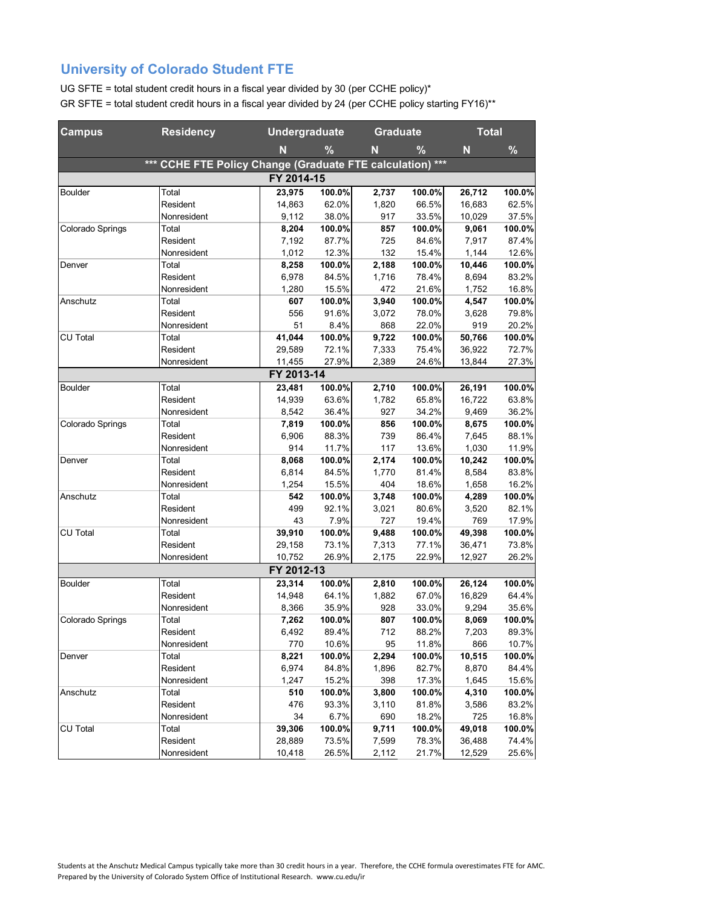| <b>Campus</b>    | <b>Residency</b>                                      |            | <b>Undergraduate</b> |       | <b>Graduate</b> | <b>Total</b> |        |
|------------------|-------------------------------------------------------|------------|----------------------|-------|-----------------|--------------|--------|
|                  |                                                       | N          | %                    | N     | %               | N            | %      |
|                  | *** CCHE FTE Policy Change (Graduate FTE calculation) |            |                      |       | $***$           |              |        |
|                  |                                                       | FY 2014-15 |                      |       |                 |              |        |
| Boulder          | Total                                                 | 23,975     | 100.0%               | 2,737 | 100.0%          | 26,712       | 100.0% |
|                  | Resident                                              | 14,863     | 62.0%                | 1,820 | 66.5%           | 16,683       | 62.5%  |
|                  | Nonresident                                           | 9,112      | 38.0%                | 917   | 33.5%           | 10,029       | 37.5%  |
| Colorado Springs | Total                                                 | 8,204      | 100.0%               | 857   | 100.0%          | 9,061        | 100.0% |
|                  | Resident                                              | 7.192      | 87.7%                | 725   | 84.6%           | 7,917        | 87.4%  |
|                  | Nonresident                                           | 1,012      | 12.3%                | 132   | 15.4%           | 1,144        | 12.6%  |
| Denver           | Total                                                 | 8,258      | 100.0%               | 2,188 | 100.0%          | 10,446       | 100.0% |
|                  | Resident                                              | 6,978      | 84.5%                | 1,716 | 78.4%           | 8,694        | 83.2%  |
|                  | Nonresident                                           | 1,280      | 15.5%                | 472   | 21.6%           | 1,752        | 16.8%  |
| Anschutz         | Total                                                 | 607        | 100.0%               | 3,940 | 100.0%          | 4,547        | 100.0% |
|                  | Resident                                              | 556        | 91.6%                | 3,072 | 78.0%           | 3,628        | 79.8%  |
|                  | Nonresident                                           | 51         | 8.4%                 | 868   | 22.0%           | 919          | 20.2%  |
| CU Total         | Total                                                 | 41,044     | 100.0%               | 9,722 | 100.0%          | 50,766       | 100.0% |
|                  | Resident                                              | 29,589     | 72.1%                | 7,333 | 75.4%           | 36,922       | 72.7%  |
|                  | Nonresident                                           | 11,455     | 27.9%                | 2,389 | 24.6%           | 13,844       | 27.3%  |
|                  |                                                       | FY 2013-14 |                      |       |                 |              |        |
| Boulder          | Total                                                 | 23,481     | 100.0%               | 2,710 | 100.0%          | 26,191       | 100.0% |
|                  | Resident                                              | 14,939     | 63.6%                | 1,782 | 65.8%           | 16,722       | 63.8%  |
|                  | Nonresident                                           | 8,542      | 36.4%                | 927   | 34.2%           | 9,469        | 36.2%  |
| Colorado Springs | Total                                                 | 7,819      | 100.0%               | 856   | 100.0%          | 8,675        | 100.0% |
|                  | Resident                                              | 6,906      | 88.3%                | 739   | 86.4%           | 7,645        | 88.1%  |
|                  | Nonresident                                           | 914        | 11.7%                | 117   | 13.6%           | 1,030        | 11.9%  |
| Denver           | Total                                                 | 8,068      | 100.0%               | 2,174 | 100.0%          | 10,242       | 100.0% |
|                  | Resident                                              | 6,814      | 84.5%                | 1,770 | 81.4%           | 8,584        | 83.8%  |
|                  | Nonresident                                           | 1,254      | 15.5%                | 404   | 18.6%           | 1,658        | 16.2%  |
| Anschutz         | Total                                                 | 542        | 100.0%               | 3,748 | 100.0%          | 4,289        | 100.0% |
|                  | Resident                                              | 499        | 92.1%                | 3,021 | 80.6%           | 3,520        | 82.1%  |
|                  | Nonresident                                           | 43         | 7.9%                 | 727   | 19.4%           | 769          | 17.9%  |
| CU Total         | Total                                                 | 39,910     | 100.0%               | 9,488 | 100.0%          | 49,398       | 100.0% |
|                  | Resident                                              | 29,158     | 73.1%                | 7,313 | 77.1%           | 36,471       | 73.8%  |
|                  | Nonresident                                           | 10,752     | 26.9%                | 2,175 | 22.9%           | 12,927       | 26.2%  |
|                  |                                                       | FY 2012-13 |                      |       |                 |              |        |
| Boulder          | Total                                                 | 23,314     | 100.0%               | 2,810 | 100.0%          | 26,124       | 100.0% |
|                  | Resident                                              | 14,948     | 64.1%                | 1,882 | 67.0%           | 16,829       | 64.4%  |
|                  | Nonresident                                           | 8,366      | 35.9%                | 928   | 33.0%           | 9,294        | 35.6%  |
| Colorado Springs | Total                                                 | 7,262      | 100.0%               | 807   | 100.0%          | 8,069        | 100.0% |
|                  | Resident                                              | 6,492      | 89.4%                | 712   | 88.2%           | 7,203        | 89.3%  |
|                  | Nonresident                                           | 770        | 10.6%                | 95    | 11.8%           | 866          | 10.7%  |
| Denver           | Total                                                 | 8,221      | 100.0%               | 2,294 | 100.0%          | 10,515       | 100.0% |
|                  | Resident                                              | 6,974      | 84.8%                | 1,896 | 82.7%           | 8,870        | 84.4%  |
|                  | Nonresident                                           | 1,247      | 15.2%                | 398   | 17.3%           | 1,645        | 15.6%  |
| Anschutz         | Total                                                 | 510        | 100.0%               | 3,800 | 100.0%          | 4,310        | 100.0% |
|                  | Resident                                              | 476        | 93.3%                | 3,110 | 81.8%           | 3,586        | 83.2%  |
|                  | Nonresident                                           | 34         | 6.7%                 | 690   | 18.2%           | 725          | 16.8%  |
| CU Total         | Total                                                 | 39,306     | 100.0%               | 9,711 | 100.0%          | 49,018       | 100.0% |
|                  | Resident                                              | 28,889     | 73.5%                | 7,599 | 78.3%           | 36,488       | 74.4%  |
|                  | Nonresident                                           | 10,418     | 26.5%                | 2,112 | 21.7%           | 12,529       | 25.6%  |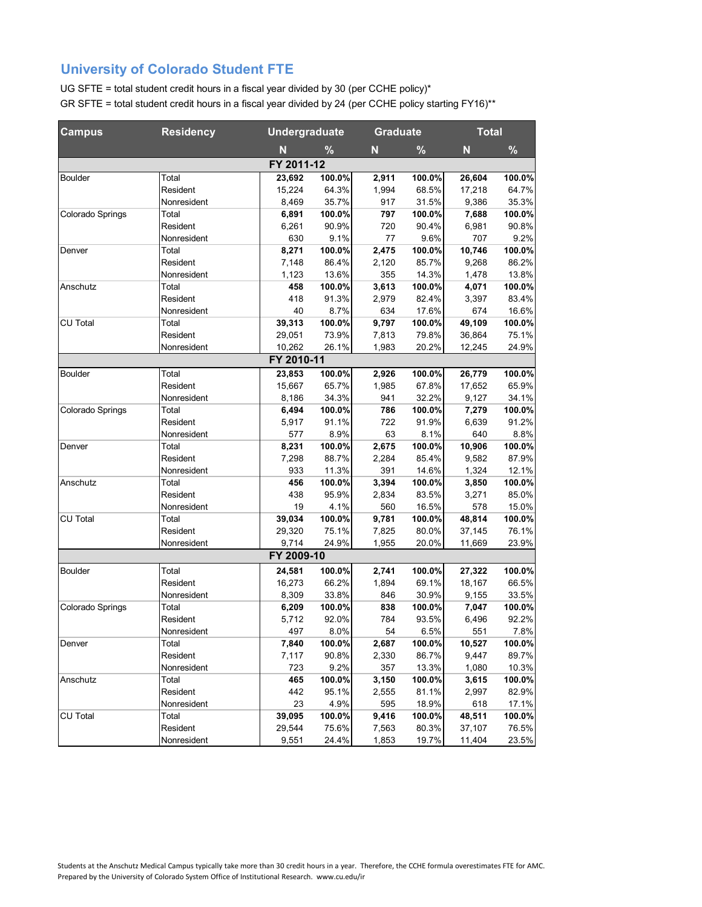| <b>Campus</b>    | <b>Residency</b> |            | <b>Undergraduate</b> |       | <b>Graduate</b> |        | <b>Total</b> |
|------------------|------------------|------------|----------------------|-------|-----------------|--------|--------------|
|                  |                  | N          | %                    | N     | %               | N      | $\%$         |
|                  |                  | FY 2011-12 |                      |       |                 |        |              |
| <b>Boulder</b>   | Total            | 23,692     | 100.0%               | 2,911 | 100.0%          | 26,604 | 100.0%       |
|                  | Resident         | 15,224     | 64.3%                | 1,994 | 68.5%           | 17,218 | 64.7%        |
|                  | Nonresident      | 8,469      | 35.7%                | 917   | 31.5%           | 9,386  | 35.3%        |
| Colorado Springs | Total            | 6,891      | 100.0%               | 797   | 100.0%          | 7,688  | 100.0%       |
|                  | Resident         | 6,261      | 90.9%                | 720   | 90.4%           | 6,981  | 90.8%        |
|                  | Nonresident      | 630        | 9.1%                 | 77    | 9.6%            | 707    | 9.2%         |
| Denver           | Total            | 8,271      | 100.0%               | 2,475 | 100.0%          | 10,746 | 100.0%       |
|                  | Resident         | 7,148      | 86.4%                | 2,120 | 85.7%           | 9,268  | 86.2%        |
|                  | Nonresident      | 1,123      | 13.6%                | 355   | 14.3%           | 1,478  | 13.8%        |
| Anschutz         | Total            | 458        | 100.0%               | 3,613 | 100.0%          | 4,071  | 100.0%       |
|                  | Resident         | 418        | 91.3%                | 2,979 | 82.4%           | 3,397  | 83.4%        |
|                  | Nonresident      | 40         | 8.7%                 | 634   | 17.6%           | 674    | 16.6%        |
| CU Total         | Total            | 39,313     | 100.0%               | 9,797 | 100.0%          | 49,109 | 100.0%       |
|                  | Resident         | 29,051     | 73.9%                | 7,813 | 79.8%           | 36,864 | 75.1%        |
|                  | Nonresident      | 10,262     | 26.1%                | 1,983 | 20.2%           | 12,245 | 24.9%        |
|                  |                  | FY 2010-11 |                      |       |                 |        |              |
| Boulder          | Total            | 23,853     | 100.0%               | 2,926 | 100.0%          | 26,779 | 100.0%       |
|                  | Resident         | 15,667     | 65.7%                | 1,985 | 67.8%           | 17,652 | 65.9%        |
|                  | Nonresident      | 8,186      | 34.3%                | 941   | 32.2%           | 9,127  | 34.1%        |
| Colorado Springs | Total            | 6,494      | 100.0%               | 786   | 100.0%          | 7,279  | 100.0%       |
|                  | Resident         | 5,917      | 91.1%                | 722   | 91.9%           | 6,639  | 91.2%        |
|                  | Nonresident      | 577        | 8.9%                 | 63    | 8.1%            | 640    | 8.8%         |
| Denver           | Total            | 8,231      | 100.0%               | 2,675 | 100.0%          | 10,906 | 100.0%       |
|                  | Resident         | 7,298      | 88.7%                | 2,284 | 85.4%           | 9,582  | 87.9%        |
|                  | Nonresident      | 933        | 11.3%                | 391   | 14.6%           | 1,324  | 12.1%        |
| Anschutz         | Total            | 456        | 100.0%               | 3,394 | 100.0%          | 3,850  | 100.0%       |
|                  | Resident         | 438        | 95.9%                | 2,834 | 83.5%           | 3,271  | 85.0%        |
|                  | Nonresident      | 19         | 4.1%                 | 560   | 16.5%           | 578    | 15.0%        |
| CU Total         | Total            | 39,034     | 100.0%               | 9,781 | 100.0%          | 48,814 | 100.0%       |
|                  | Resident         | 29,320     | 75.1%                | 7,825 | 80.0%           | 37,145 | 76.1%        |
|                  | Nonresident      | 9,714      | 24.9%                | 1,955 | 20.0%           | 11,669 | 23.9%        |
|                  |                  | FY 2009-10 |                      |       |                 |        |              |
| <b>Boulder</b>   | Total            | 24,581     | 100.0%               | 2,741 | 100.0%          | 27,322 | 100.0%       |
|                  | Resident         | 16,273     | 66.2%                | 1,894 | 69.1%           | 18,167 | 66.5%        |
|                  | Nonresident      | 8,309      | 33.8%                | 846   | 30.9%           | 9,155  | 33.5%        |
| Colorado Springs | Total            | 6,209      | 100.0%               | 838   | 100.0%          | 7,047  | 100.0%       |
|                  | Resident         | 5,712      | 92.0%                | 784   | 93.5%           | 6,496  | 92.2%        |
|                  | Nonresident      | 497        | 8.0%                 | 54    | 6.5%            | 551    | 7.8%         |
| Denver           | Total            | 7,840      | 100.0%               | 2,687 | 100.0%          | 10,527 | 100.0%       |
|                  | Resident         | 7,117      | 90.8%                | 2,330 | 86.7%           | 9,447  | 89.7%        |
|                  | Nonresident      | 723        | 9.2%                 | 357   | 13.3%           | 1,080  | 10.3%        |
| Anschutz         | Total            | 465        | 100.0%               | 3,150 | 100.0%          | 3,615  | 100.0%       |
|                  | Resident         | 442        | 95.1%                | 2,555 | 81.1%           | 2,997  | 82.9%        |
|                  | Nonresident      | 23         | 4.9%                 | 595   | 18.9%           | 618    | 17.1%        |
| CU Total         | Total            | 39,095     | 100.0%               | 9,416 | 100.0%          | 48,511 | 100.0%       |
|                  | Resident         | 29,544     | 75.6%                | 7,563 | 80.3%           | 37,107 | 76.5%        |
|                  | Nonresident      | 9,551      | 24.4%                | 1,853 | 19.7%           | 11,404 | 23.5%        |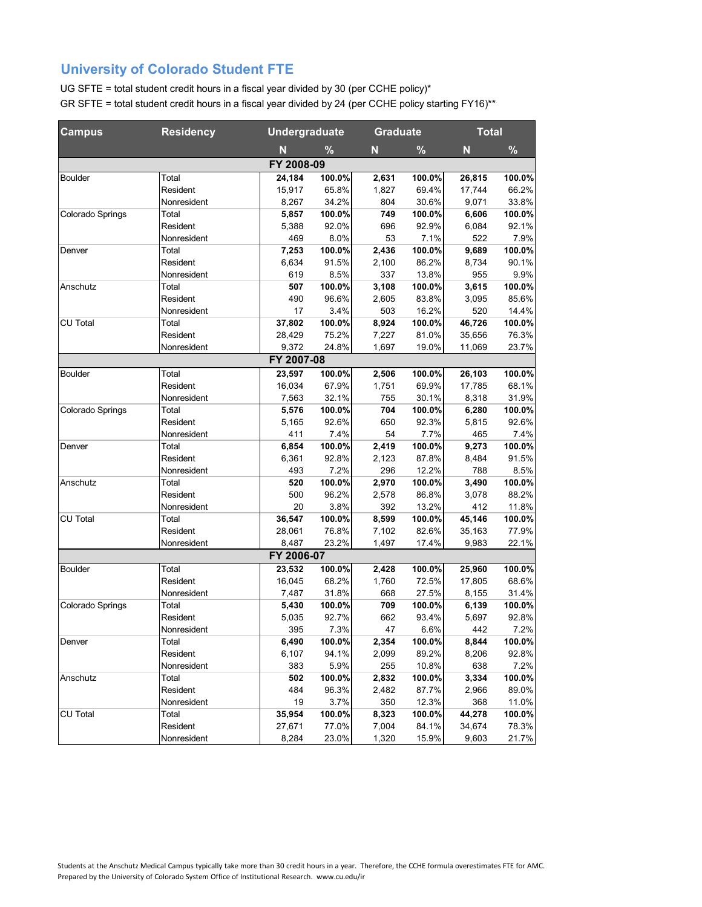| <b>Campus</b>    | <b>Residency</b> |            | <b>Undergraduate</b> |       | <b>Graduate</b> |        | <b>Total</b> |  |
|------------------|------------------|------------|----------------------|-------|-----------------|--------|--------------|--|
|                  |                  | N          | %                    | N     | %               | N      | %            |  |
|                  |                  | FY 2008-09 |                      |       |                 |        |              |  |
| Boulder          | Total            | 24,184     | 100.0%               | 2,631 | 100.0%          | 26,815 | 100.0%       |  |
|                  | Resident         | 15,917     | 65.8%                | 1,827 | 69.4%           | 17,744 | 66.2%        |  |
|                  | Nonresident      | 8,267      | 34.2%                | 804   | 30.6%           | 9,071  | 33.8%        |  |
| Colorado Springs | Total            | 5,857      | 100.0%               | 749   | 100.0%          | 6,606  | 100.0%       |  |
|                  | Resident         | 5,388      | 92.0%                | 696   | 92.9%           | 6,084  | 92.1%        |  |
|                  | Nonresident      | 469        | 8.0%                 | 53    | 7.1%            | 522    | 7.9%         |  |
| Denver           | Total            | 7,253      | 100.0%               | 2,436 | 100.0%          | 9,689  | 100.0%       |  |
|                  | Resident         | 6,634      | 91.5%                | 2,100 | 86.2%           | 8,734  | 90.1%        |  |
|                  | Nonresident      | 619        | 8.5%                 | 337   | 13.8%           | 955    | 9.9%         |  |
| Anschutz         | Total            | 507        | 100.0%               | 3,108 | 100.0%          | 3,615  | 100.0%       |  |
|                  | Resident         | 490        | 96.6%                | 2,605 | 83.8%           | 3,095  | 85.6%        |  |
|                  | Nonresident      | 17         | 3.4%                 | 503   | 16.2%           | 520    | 14.4%        |  |
| CU Total         | Total            | 37,802     | 100.0%               | 8,924 | 100.0%          | 46,726 | 100.0%       |  |
|                  | Resident         | 28,429     | 75.2%                | 7,227 | 81.0%           | 35,656 | 76.3%        |  |
|                  | Nonresident      | 9,372      | 24.8%                | 1,697 | 19.0%           | 11,069 | 23.7%        |  |
|                  |                  | FY 2007-08 |                      |       |                 |        |              |  |
| Boulder          | Total            | 23,597     | 100.0%               | 2,506 | 100.0%          | 26,103 | 100.0%       |  |
|                  | Resident         | 16,034     | 67.9%                | 1,751 | 69.9%           | 17,785 | 68.1%        |  |
|                  | Nonresident      | 7,563      | 32.1%                | 755   | 30.1%           | 8,318  | 31.9%        |  |
| Colorado Springs | Total            | 5,576      | 100.0%               | 704   | 100.0%          | 6,280  | 100.0%       |  |
|                  | Resident         | 5,165      | 92.6%                | 650   | 92.3%           | 5,815  | 92.6%        |  |
|                  | Nonresident      | 411        | 7.4%                 | 54    | 7.7%            | 465    | 7.4%         |  |
| Denver           | Total            | 6,854      | 100.0%               | 2,419 | 100.0%          | 9,273  | 100.0%       |  |
|                  | Resident         | 6,361      | 92.8%                | 2,123 | 87.8%           | 8,484  | 91.5%        |  |
|                  | Nonresident      | 493        | 7.2%                 | 296   | 12.2%           | 788    | 8.5%         |  |
| Anschutz         | Total            | 520        | 100.0%               | 2,970 | 100.0%          | 3,490  | 100.0%       |  |
|                  | Resident         | 500        | 96.2%                | 2,578 | 86.8%           | 3,078  | 88.2%        |  |
|                  | Nonresident      | 20         | 3.8%                 | 392   | 13.2%           | 412    | 11.8%        |  |
| CU Total         | Total            | 36,547     | 100.0%               | 8,599 | 100.0%          | 45,146 | 100.0%       |  |
|                  | Resident         | 28,061     | 76.8%                | 7,102 | 82.6%           | 35,163 | 77.9%        |  |
|                  | Nonresident      | 8,487      | 23.2%                | 1,497 | 17.4%           | 9,983  | 22.1%        |  |
|                  |                  | FY 2006-07 |                      |       |                 |        |              |  |
| Boulder          | Total            | 23,532     | 100.0%               | 2,428 | 100.0%          | 25,960 | 100.0%       |  |
|                  | Resident         | 16,045     | 68.2%                | 1,760 | 72.5%           | 17,805 | 68.6%        |  |
|                  | Nonresident      | 7,487      | 31.8%                | 668   | 27.5%           | 8,155  | 31.4%        |  |
| Colorado Springs | Total            | 5,430      | 100.0%               | 709   | 100.0%          | 6,139  | 100.0%       |  |
|                  | Resident         | 5,035      | 92.7%                | 662   | 93.4%           | 5,697  | 92.8%        |  |
|                  | Nonresident      | 395        | 7.3%                 | 47    | 6.6%            | 442    | 7.2%         |  |
| Denver           | Total            | 6,490      | 100.0%               | 2,354 | 100.0%          | 8,844  | 100.0%       |  |
|                  | Resident         | 6,107      | 94.1%                | 2,099 | 89.2%           | 8,206  | 92.8%        |  |
|                  | Nonresident      | 383        | 5.9%                 | 255   | 10.8%           | 638    | 7.2%         |  |
| Anschutz         | Total            | 502        | 100.0%               | 2,832 | 100.0%          | 3,334  | 100.0%       |  |
|                  | Resident         | 484        | 96.3%                | 2,482 | 87.7%           | 2,966  | 89.0%        |  |
|                  | Nonresident      | 19         | 3.7%                 | 350   | 12.3%           | 368    | 11.0%        |  |
| CU Total         | Total            | 35,954     | 100.0%               | 8,323 | 100.0%          | 44,278 | 100.0%       |  |
|                  | Resident         | 27,671     | 77.0%                | 7,004 | 84.1%           | 34,674 | 78.3%        |  |
|                  | Nonresident      | 8,284      | 23.0%                | 1,320 | 15.9%           | 9,603  | 21.7%        |  |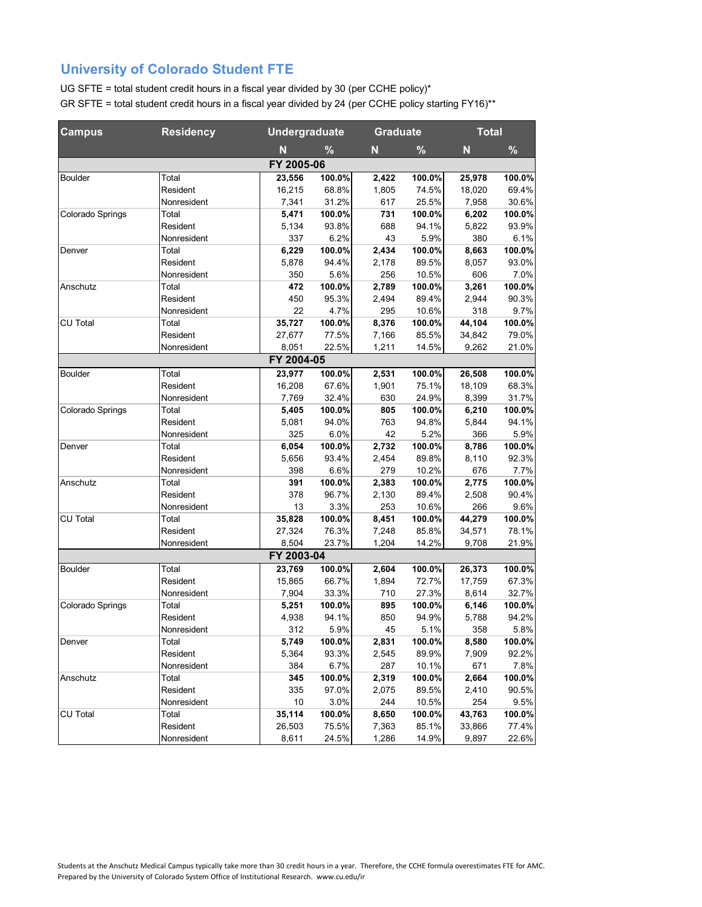| <b>Campus</b>    | <b>Residency</b> |            | <b>Undergraduate</b> |       | <b>Graduate</b> | <b>Total</b> |        |
|------------------|------------------|------------|----------------------|-------|-----------------|--------------|--------|
|                  |                  | N          | %                    | N     | %               | N            | %      |
|                  |                  | FY 2005-06 |                      |       |                 |              |        |
| Boulder          | Total            | 23,556     | 100.0%               | 2,422 | 100.0%          | 25,978       | 100.0% |
|                  | Resident         | 16,215     | 68.8%                | 1,805 | 74.5%           | 18,020       | 69.4%  |
|                  | Nonresident      | 7,341      | 31.2%                | 617   | 25.5%           | 7,958        | 30.6%  |
| Colorado Springs | Total            | 5,471      | 100.0%               | 731   | 100.0%          | 6,202        | 100.0% |
|                  | Resident         | 5,134      | 93.8%                | 688   | 94.1%           | 5,822        | 93.9%  |
|                  | Nonresident      | 337        | 6.2%                 | 43    | 5.9%            | 380          | 6.1%   |
| Denver           | Total            | 6,229      | 100.0%               | 2,434 | 100.0%          | 8,663        | 100.0% |
|                  | Resident         | 5,878      | 94.4%                | 2,178 | 89.5%           | 8,057        | 93.0%  |
|                  | Nonresident      | 350        | 5.6%                 | 256   | 10.5%           | 606          | 7.0%   |
| Anschutz         | Total            | 472        | 100.0%               | 2,789 | 100.0%          | 3,261        | 100.0% |
|                  | Resident         | 450        | 95.3%                | 2,494 | 89.4%           | 2,944        | 90.3%  |
|                  | Nonresident      | 22         | 4.7%                 | 295   | 10.6%           | 318          | 9.7%   |
| CU Total         | Total            | 35,727     | 100.0%               | 8,376 | 100.0%          | 44,104       | 100.0% |
|                  | Resident         | 27,677     | 77.5%                | 7,166 | 85.5%           | 34,842       | 79.0%  |
|                  | Nonresident      | 8,051      | 22.5%                | 1,211 | 14.5%           | 9,262        | 21.0%  |
|                  |                  | FY 2004-05 |                      |       |                 |              |        |
| Boulder          | Total            | 23,977     | 100.0%               | 2,531 | 100.0%          | 26,508       | 100.0% |
|                  | Resident         | 16,208     | 67.6%                | 1,901 | 75.1%           | 18,109       | 68.3%  |
|                  | Nonresident      | 7,769      | 32.4%                | 630   | 24.9%           | 8,399        | 31.7%  |
| Colorado Springs | Total            | 5,405      | 100.0%               | 805   | 100.0%          | 6,210        | 100.0% |
|                  | Resident         | 5,081      | 94.0%                | 763   | 94.8%           | 5,844        | 94.1%  |
|                  | Nonresident      | 325        | 6.0%                 | 42    | 5.2%            | 366          | 5.9%   |
| Denver           | Total            | 6,054      | 100.0%               | 2,732 | 100.0%          | 8,786        | 100.0% |
|                  | Resident         | 5,656      | 93.4%                | 2,454 | 89.8%           | 8,110        | 92.3%  |
|                  | Nonresident      | 398        | 6.6%                 | 279   | 10.2%           | 676          | 7.7%   |
| Anschutz         | Total            | 391        | 100.0%               | 2,383 | 100.0%          | 2,775        | 100.0% |
|                  | Resident         | 378        | 96.7%                | 2,130 | 89.4%           | 2,508        | 90.4%  |
|                  | Nonresident      | 13         | 3.3%                 | 253   | 10.6%           | 266          | 9.6%   |
| CU Total         | Total            | 35,828     | 100.0%               | 8,451 | 100.0%          | 44,279       | 100.0% |
|                  | Resident         | 27,324     | 76.3%                | 7,248 | 85.8%           | 34,571       | 78.1%  |
|                  | Nonresident      | 8,504      | 23.7%                | 1,204 | 14.2%           | 9,708        | 21.9%  |
|                  |                  | FY 2003-04 |                      |       |                 |              |        |
| Boulder          | Total            | 23,769     | 100.0%               | 2,604 | 100.0%          | 26,373       | 100.0% |
|                  | Resident         | 15,865     | 66.7%                | 1,894 | 72.7%           | 17,759       | 67.3%  |
|                  | Nonresident      | 7,904      | 33.3%                | 710   | 27.3%           | 8,614        | 32.7%  |
| Colorado Springs | Total            | 5,251      | 100.0%               | 895   | 100.0%          | 6,146        | 100.0% |
|                  | Resident         | 4,938      | 94.1%                | 850   | 94.9%           | 5,788        | 94.2%  |
|                  | Nonresident      | 312        | 5.9%                 | 45    | 5.1%            | 358          | 5.8%   |
| Denver           | Total            | 5,749      | 100.0%               | 2,831 | 100.0%          | 8,580        | 100.0% |
|                  | Resident         | 5,364      | 93.3%                | 2,545 | 89.9%           | 7,909        | 92.2%  |
|                  | Nonresident      | 384        | 6.7%                 | 287   | 10.1%           | 671          | 7.8%   |
| Anschutz         | Total            | 345        | 100.0%               | 2,319 | 100.0%          | 2,664        | 100.0% |
|                  | Resident         | 335        | 97.0%                | 2,075 | 89.5%           | 2,410        | 90.5%  |
|                  | Nonresident      | 10         | 3.0%                 | 244   | 10.5%           | 254          | 9.5%   |
| CU Total         | Total            | 35,114     | 100.0%               | 8,650 | 100.0%          | 43,763       | 100.0% |
|                  | Resident         | 26,503     | 75.5%                | 7,363 | 85.1%           | 33,866       | 77.4%  |
|                  | Nonresident      | 8,611      | 24.5%                | 1,286 | 14.9%           | 9,897        | 22.6%  |